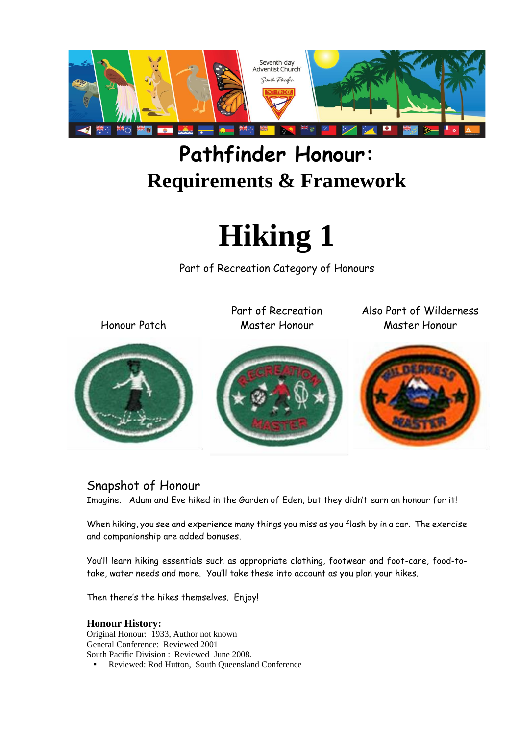

# **Pathfinder Honour: Requirements & Framework**



Part of Recreation Category of Honours

Honour Patch



Part of Recreation Master Honour

Also Part of Wilderness Master Honour



#### Snapshot of Honour

Imagine. Adam and Eve hiked in the Garden of Eden, but they didn't earn an honour for it!

When hiking, you see and experience many things you miss as you flash by in a car. The exercise and companionship are added bonuses.

You'll learn hiking essentials such as appropriate clothing, footwear and foot-care, food-totake, water needs and more. You'll take these into account as you plan your hikes.

Then there's the hikes themselves. Enjoy!

#### **Honour History:**

Original Honour: 1933, Author not known General Conference: Reviewed 2001 South Pacific Division : Reviewed June 2008. Reviewed: Rod Hutton, South Queensland Conference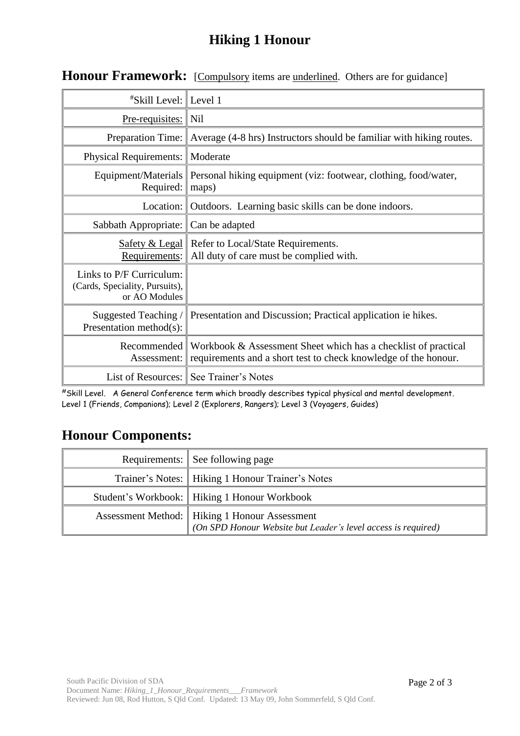### **Hiking 1 Honour**

| <i><b>"Skill Level: Level 1</b></i>                                         |                                                                                                                                   |
|-----------------------------------------------------------------------------|-----------------------------------------------------------------------------------------------------------------------------------|
| $Pre-requistics: \ \text{Nil}$                                              |                                                                                                                                   |
|                                                                             | Preparation Time: $\parallel$ Average (4-8 hrs) Instructors should be familiar with hiking routes.                                |
| <b>Physical Requirements:</b>                                               | Moderate                                                                                                                          |
| Equipment/Materials<br>Required:                                            | Personal hiking equipment (viz: footwear, clothing, food/water,<br>maps)                                                          |
| Location:                                                                   | Outdoors. Learning basic skills can be done indoors.                                                                              |
| Sabbath Appropriate:                                                        | Can be adapted                                                                                                                    |
| Safety & Legal<br>Requirements:                                             | Refer to Local/State Requirements.<br>All duty of care must be complied with.                                                     |
| Links to P/F Curriculum:<br>(Cards, Speciality, Pursuits),<br>or AO Modules |                                                                                                                                   |
| Suggested Teaching /<br>Presentation method(s):                             | Presentation and Discussion; Practical application ie hikes.                                                                      |
| Recommended<br>Assessment:                                                  | Workbook & Assessment Sheet which has a checklist of practical<br>requirements and a short test to check knowledge of the honour. |
|                                                                             | List of Resources: See Trainer's Notes                                                                                            |

#### **Honour Framework:** [Compulsory items are underlined. Others are for guidance]

#Skill Level. A General Conference term which broadly describes typical physical and mental development. Level 1 (Friends, Companions); Level 2 (Explorers, Rangers); Level 3 (Voyagers, Guides)

## **Honour Components:**

| Requirements: See following page                                                                                 |
|------------------------------------------------------------------------------------------------------------------|
| Trainer's Notes:   Hiking 1 Honour Trainer's Notes                                                               |
| Student's Workbook:   Hiking 1 Honour Workbook                                                                   |
| Assessment Method:   Hiking 1 Honour Assessment<br>(On SPD Honour Website but Leader's level access is required) |